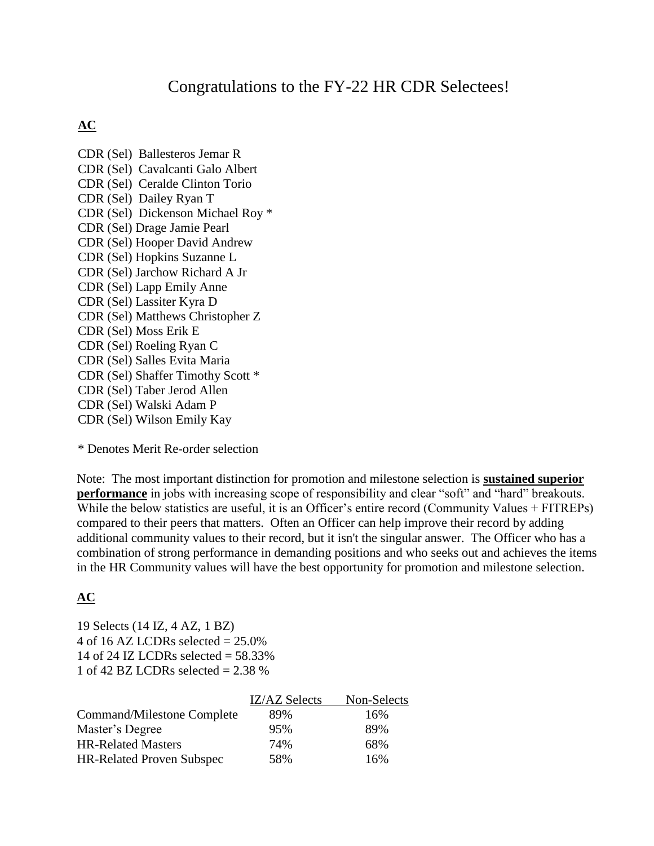# Congratulations to the FY-22 HR CDR Selectees!

## **AC**

CDR (Sel) Ballesteros Jemar R CDR (Sel) Cavalcanti Galo Albert CDR (Sel) Ceralde Clinton Torio CDR (Sel) Dailey Ryan T CDR (Sel) Dickenson Michael Roy \* CDR (Sel) Drage Jamie Pearl CDR (Sel) Hooper David Andrew CDR (Sel) Hopkins Suzanne L CDR (Sel) Jarchow Richard A Jr CDR (Sel) Lapp Emily Anne CDR (Sel) Lassiter Kyra D CDR (Sel) Matthews Christopher Z CDR (Sel) Moss Erik E CDR (Sel) Roeling Ryan C CDR (Sel) Salles Evita Maria CDR (Sel) Shaffer Timothy Scott \* CDR (Sel) Taber Jerod Allen CDR (Sel) Walski Adam P CDR (Sel) Wilson Emily Kay

\* Denotes Merit Re-order selection

Note: The most important distinction for promotion and milestone selection is **sustained superior performance** in jobs with increasing scope of responsibility and clear "soft" and "hard" breakouts. While the below statistics are useful, it is an Officer's entire record (Community Values + FITREPs) compared to their peers that matters. Often an Officer can help improve their record by adding additional community values to their record, but it isn't the singular answer. The Officer who has a combination of strong performance in demanding positions and who seeks out and achieves the items in the HR Community values will have the best opportunity for promotion and milestone selection.

## **AC**

19 Selects (14 IZ, 4 AZ, 1 BZ) 4 of 16 AZ LCDRs selected  $= 25.0\%$ 14 of 24 IZ LCDRs selected  $=$  58.33% 1 of 42 BZ LCDRs selected  $= 2.38 %$ 

|                                  | <b>IZ/AZ Selects</b> | Non-Selects |
|----------------------------------|----------------------|-------------|
| Command/Milestone Complete       | 89%                  | 16%         |
| Master's Degree                  | 95%                  | 89%         |
| <b>HR-Related Masters</b>        | 74%                  | 68%         |
| <b>HR-Related Proven Subspec</b> | 58%                  | 16%         |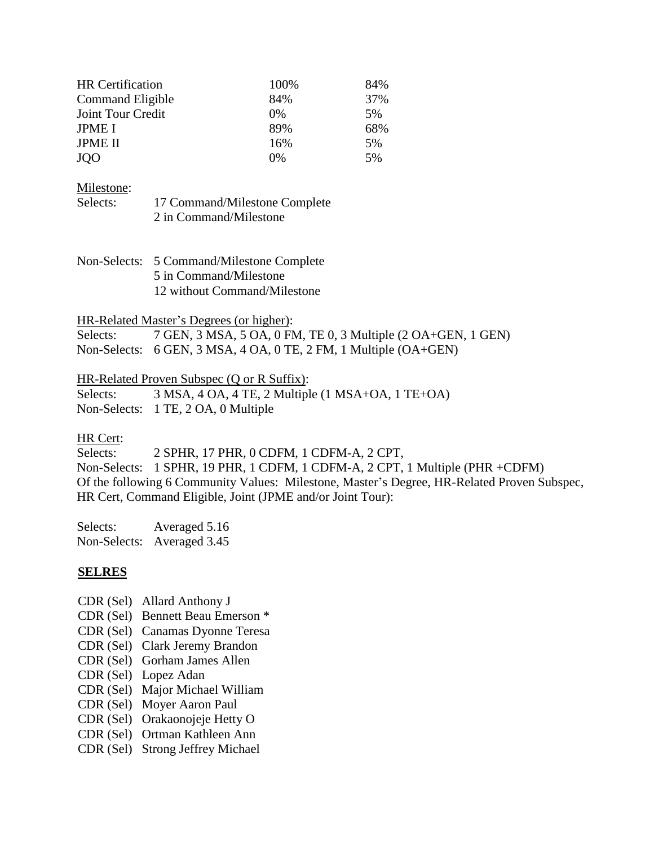| <b>HR</b> Certification | 100%  | 84% |
|-------------------------|-------|-----|
| Command Eligible        | 84%   | 37% |
| Joint Tour Credit       | 0%    | 5%  |
| <b>JPME I</b>           | 89%   | 68% |
| <b>JPME II</b>          | 16%   | 5%  |
| <b>JOO</b>              | $0\%$ | 5%  |

#### Milestone:

| Selects: | 17 Command/Milestone Complete |
|----------|-------------------------------|
|          | 2 in Command/Milestone        |

| Non-Selects: 5 Command/Milestone Complete |
|-------------------------------------------|
| 5 in Command/Milestone                    |
| 12 without Command/Milestone              |

#### HR-Related Master's Degrees (or higher):

| Selects: | 7 GEN, 3 MSA, 5 OA, 0 FM, TE 0, 3 Multiple (2 OA+GEN, 1 GEN)                 |
|----------|------------------------------------------------------------------------------|
|          | Non-Selects: $6$ GEN, $3$ MSA, $4$ OA, $0$ TE, $2$ FM, $1$ Multiple (OA+GEN) |

#### HR-Related Proven Subspec (Q or R Suffix):

| Selects: | $3$ MSA, $4$ OA, $4$ TE, $2$ Multiple (1 MSA+OA, 1 TE+OA) |
|----------|-----------------------------------------------------------|
|          | Non-Selects: 1 TE, 2 OA, 0 Multiple                       |

#### HR Cert:

Selects: 2 SPHR, 17 PHR, 0 CDFM, 1 CDFM-A, 2 CPT, Non-Selects: 1 SPHR, 19 PHR, 1 CDFM, 1 CDFM-A, 2 CPT, 1 Multiple (PHR +CDFM) Of the following 6 Community Values: Milestone, Master's Degree, HR-Related Proven Subspec, HR Cert, Command Eligible, Joint (JPME and/or Joint Tour):

Selects: Averaged 5.16 Non-Selects: Averaged 3.45

#### **SELRES**

- CDR (Sel) Allard Anthony J
- CDR (Sel) Bennett Beau Emerson \*
- CDR (Sel) Canamas Dyonne Teresa
- CDR (Sel) Clark Jeremy Brandon
- CDR (Sel) Gorham James Allen
- CDR (Sel) Lopez Adan
- CDR (Sel) Major Michael William
- CDR (Sel) Moyer Aaron Paul
- CDR (Sel) Orakaonojeje Hetty O
- CDR (Sel) Ortman Kathleen Ann
- CDR (Sel) Strong Jeffrey Michael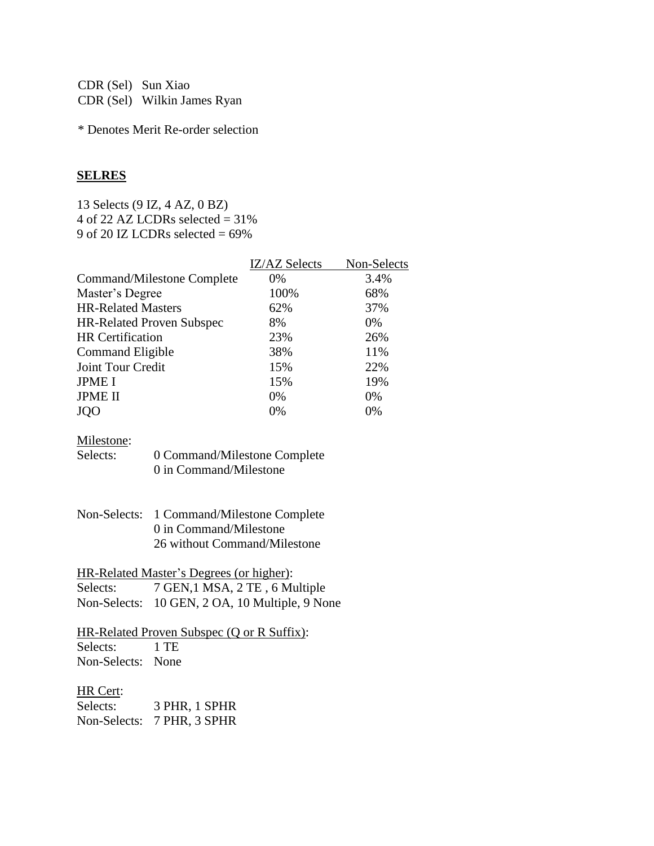CDR (Sel) Sun Xiao CDR (Sel) Wilkin James Ryan

\* Denotes Merit Re-order selection

### **SELRES**

13 Selects (9 IZ, 4 AZ, 0 BZ) 4 of 22 AZ LCDRs selected  $= 31\%$ 9 of 20 IZ LCDRs selected = 69%

|                                  | <b>IZ/AZ Selects</b> | Non-Selects |
|----------------------------------|----------------------|-------------|
| Command/Milestone Complete       | 0%                   | 3.4%        |
| Master's Degree                  | 100%                 | 68%         |
| <b>HR-Related Masters</b>        | 62%                  | 37%         |
| <b>HR-Related Proven Subspec</b> | 8%                   | 0%          |
| <b>HR</b> Certification          | 23%                  | 26%         |
| Command Eligible                 | 38%                  | 11%         |
| Joint Tour Credit                | 15%                  | 22%         |
| <b>JPME I</b>                    | 15%                  | 19%         |
| <b>JPME II</b>                   | $0\%$                | 0%          |
| JQO                              | 0%                   | 0%          |

## Milestone:

| Selects: | 0 Command/Milestone Complete |
|----------|------------------------------|
|          | 0 in Command/Milestone       |

| Non-Selects: 1 Command/Milestone Complete |
|-------------------------------------------|
| 0 in Command/Milestone                    |
| 26 without Command/Milestone              |

| HR-Related Master's Degrees (or higher): |                                                |  |
|------------------------------------------|------------------------------------------------|--|
| Selects:                                 | 7 GEN, 1 MSA, 2 TE, 6 Multiple                 |  |
|                                          | Non-Selects: 10 GEN, 2 OA, 10 Multiple, 9 None |  |

## HR-Related Proven Subspec (Q or R Suffix): Selects: 1 TE

Non-Selects: None

## HR Cert:

| Selects: | 3 PHR, 1 SPHR              |
|----------|----------------------------|
|          | Non-Selects: 7 PHR, 3 SPHR |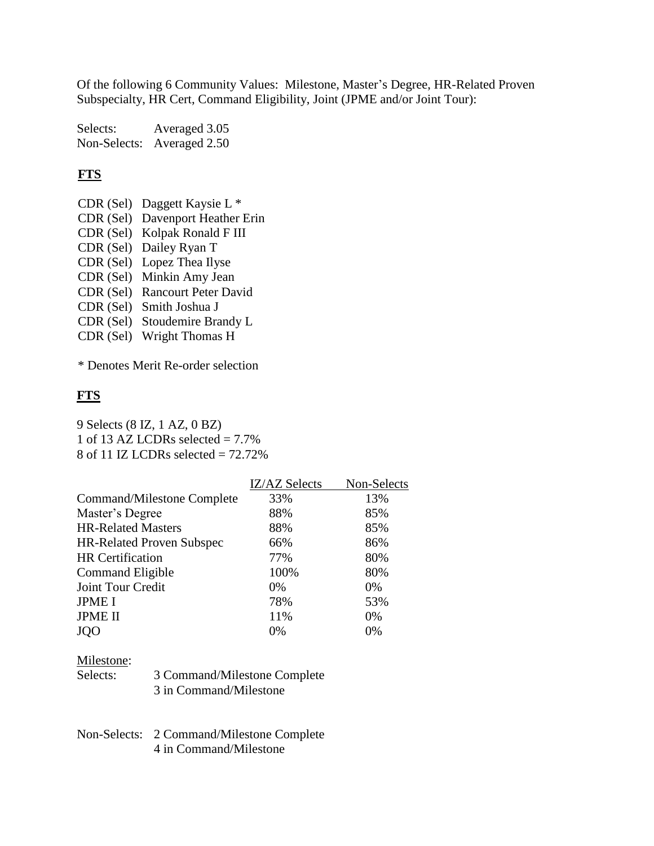Of the following 6 Community Values: Milestone, Master's Degree, HR-Related Proven Subspecialty, HR Cert, Command Eligibility, Joint (JPME and/or Joint Tour):

Selects: Averaged 3.05 Non-Selects: Averaged 2.50

## **FTS**

- CDR (Sel) Daggett Kaysie L \*
- CDR (Sel) Davenport Heather Erin
- CDR (Sel) Kolpak Ronald F III
- CDR (Sel) Dailey Ryan T
- CDR (Sel) Lopez Thea Ilyse
- CDR (Sel) Minkin Amy Jean
- CDR (Sel) Rancourt Peter David
- CDR (Sel) Smith Joshua J
- CDR (Sel) Stoudemire Brandy L
- CDR (Sel) Wright Thomas H

\* Denotes Merit Re-order selection

## **FTS**

9 Selects (8 IZ, 1 AZ, 0 BZ) 1 of 13 AZ LCDRs selected  $= 7.7\%$ 8 of 11 IZ LCDRs selected  $= 72.72\%$ 

|                                  | IZ/AZ Selects | Non-Selects |
|----------------------------------|---------------|-------------|
| Command/Milestone Complete       | 33%           | 13%         |
| Master's Degree                  | 88%           | 85%         |
| <b>HR-Related Masters</b>        | 88%           | 85%         |
| <b>HR-Related Proven Subspec</b> | 66%           | 86%         |
| <b>HR</b> Certification          | 77%           | 80%         |
| Command Eligible                 | 100%          | 80%         |
| Joint Tour Credit                | $0\%$         | 0%          |
| <b>JPME I</b>                    | 78%           | 53%         |
| <b>JPME II</b>                   | 11%           | 0%          |
| <b>JQO</b>                       | 0%            | 0%          |
|                                  |               |             |

#### Milestone:

| Selects: | 3 Command/Milestone Complete |
|----------|------------------------------|
|          | 3 in Command/Milestone       |

Non-Selects: 2 Command/Milestone Complete 4 in Command/Milestone